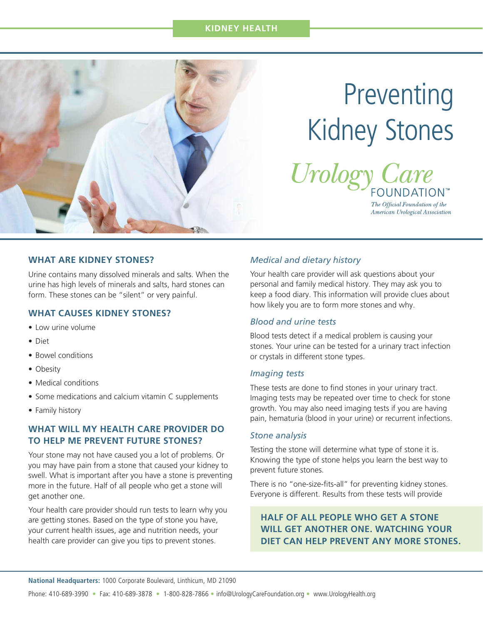# **KIDNEY HEALTH**



# Preventing Kidney Stones



The Official Foundation of the American Urological Association

## **WHAT ARE KIDNEY STONES?**

Urine contains many dissolved minerals and salts. When the urine has high levels of minerals and salts, hard stones can form. These stones can be "silent" or very painful.

#### **WHAT CAUSES KIDNEY STONES?**

- Low urine volume
- Diet
- Bowel conditions
- Obesity
- Medical conditions
- Some medications and calcium vitamin C supplements
- Family history

# **WHAT WILL MY HEALTH CARE PROVIDER DO TO HELP ME PREVENT FUTURE STONES?**

Your stone may not have caused you a lot of problems. Or you may have pain from a stone that caused your kidney to swell. What is important after you have a stone is preventing more in the future. Half of all people who get a stone will get another one.

Your health care provider should run tests to learn why you are getting stones. Based on the type of stone you have, your current health issues, age and nutrition needs, your health care provider can give you tips to prevent stones.

#### *Medical and dietary history*

Your health care provider will ask questions about your personal and family medical history. They may ask you to keep a food diary. This information will provide clues about how likely you are to form more stones and why.

#### *Blood and urine tests*

Blood tests detect if a medical problem is causing your stones. Your urine can be tested for a urinary tract infection or crystals in different stone types.

#### *Imaging tests*

These tests are done to find stones in your urinary tract. Imaging tests may be repeated over time to check for stone growth. You may also need imaging tests if you are having pain, hematuria (blood in your urine) or recurrent infections.

#### *Stone analysis*

Testing the stone will determine what type of stone it is. Knowing the type of stone helps you learn the best way to prevent future stones.

There is no "one-size-fits-all" for preventing kidney stones. Everyone is different. Results from these tests will provide

# **HALF OF ALL PEOPLE WHO GET A STONE WILL GET ANOTHER ONE. WATCHING YOUR DIET CAN HELP PREVENT ANY MORE STONES.**

**National Headquarters:** 1000 Corporate Boulevard, Linthicum, MD 21090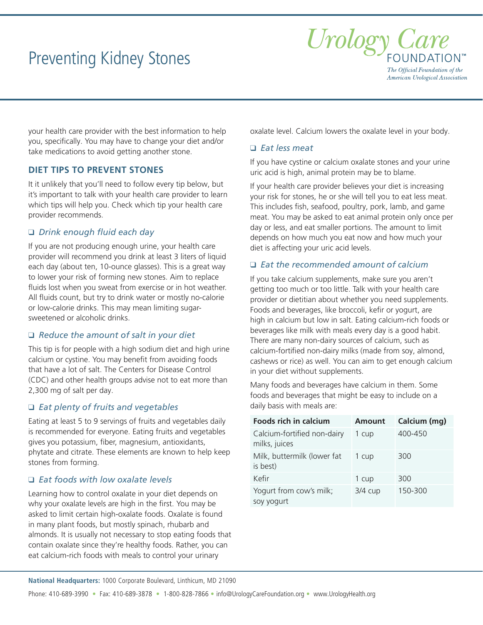# Preventing Kidney Stones



your health care provider with the best information to help you, specifically. You may have to change your diet and/or take medications to avoid getting another stone.

# **DIET TIPS TO PREVENT STONES**

It it unlikely that you'll need to follow every tip below, but it's important to talk with your health care provider to learn which tips will help you. Check which tip your health care provider recommends.

# q *Drink enough fluid each day*

If you are not producing enough urine, your health care provider will recommend you drink at least 3 liters of liquid each day (about ten, 10-ounce glasses). This is a great way to lower your risk of forming new stones. Aim to replace fluids lost when you sweat from exercise or in hot weather. All fluids count, but try to drink water or mostly no-calorie or low-calorie drinks. This may mean limiting sugarsweetened or alcoholic drinks.

#### q *Reduce the amount of salt in your diet*

This tip is for people with a high sodium diet and high urine calcium or cystine. You may benefit from avoiding foods that have a lot of salt. The Centers for Disease Control (CDC) and other health groups advise not to eat more than 2,300 mg of salt per day.

#### q *Eat plenty of fruits and vegetables*

Eating at least 5 to 9 servings of fruits and vegetables daily is recommended for everyone. Eating fruits and vegetables gives you potassium, fiber, magnesium, antioxidants, phytate and citrate. These elements are known to help keep stones from forming.

#### q *Eat foods with low oxalate levels*

Learning how to control oxalate in your diet depends on why your oxalate levels are high in the first. You may be asked to limit certain high-oxalate foods. Oxalate is found in many plant foods, but mostly spinach, rhubarb and almonds. It is usually not necessary to stop eating foods that contain oxalate since they're healthy foods. Rather, you can eat calcium-rich foods with meals to control your urinary

oxalate level. Calcium lowers the oxalate level in your body.

## q *Eat less meat*

If you have cystine or calcium oxalate stones and your urine uric acid is high, animal protein may be to blame.

If your health care provider believes your diet is increasing your risk for stones, he or she will tell you to eat less meat. This includes fish, seafood, poultry, pork, lamb, and game meat. You may be asked to eat animal protein only once per day or less, and eat smaller portions. The amount to limit depends on how much you eat now and how much your diet is affecting your uric acid levels.

#### q *Eat the recommended amount of calcium*

If you take calcium supplements, make sure you aren't getting too much or too little. Talk with your health care provider or dietitian about whether you need supplements. Foods and beverages, like broccoli, kefir or yogurt, are high in calcium but low in salt. Eating calcium-rich foods or beverages like milk with meals every day is a good habit. There are many non-dairy sources of calcium, such as calcium-fortified non-dairy milks (made from soy, almond, cashews or rice) as well. You can aim to get enough calcium in your diet without supplements.

Many foods and beverages have calcium in them. Some foods and beverages that might be easy to include on a daily basis with meals are:

| <b>Foods rich in calcium</b>                 | <b>Amount</b> | Calcium (mg) |
|----------------------------------------------|---------------|--------------|
| Calcium-fortified non-dairy<br>milks, juices | 1 cup         | 400-450      |
| Milk, buttermilk (lower fat<br>is best)      | 1 cup         | 300          |
| Kefir                                        | 1 cup         | 300          |
| Yogurt from cow's milk;<br>soy yogurt        | 3/4 cup       | 150-300      |

**National Headquarters:** 1000 Corporate Boulevard, Linthicum, MD 21090